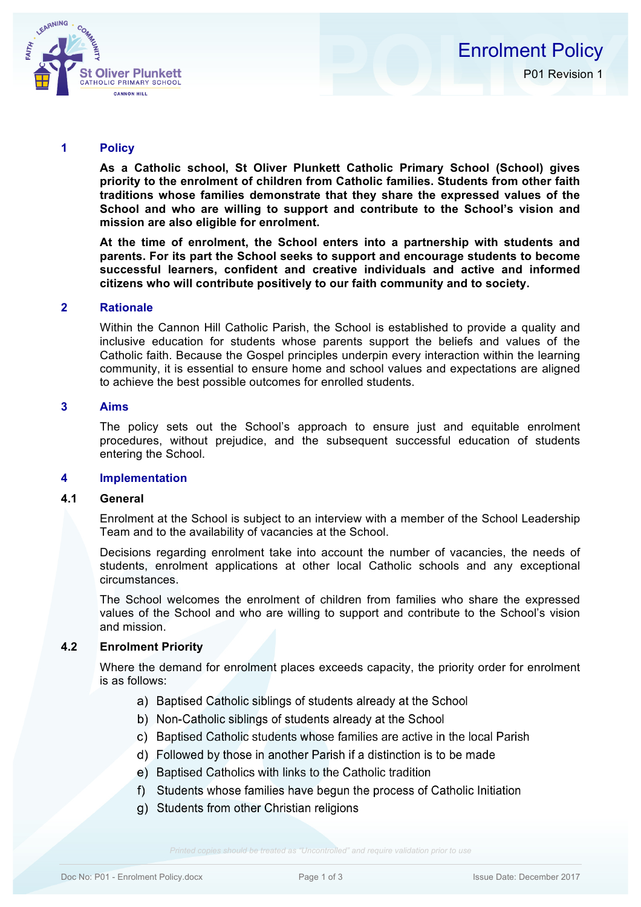

#### **1 Policy**

**As a Catholic school, St Oliver Plunkett Catholic Primary School (School) gives priority to the enrolment of children from Catholic families. Students from other faith traditions whose families demonstrate that they share the expressed values of the School and who are willing to support and contribute to the School's vision and mission are also eligible for enrolment.** 

**At the time of enrolment, the School enters into a partnership with students and parents. For its part the School seeks to support and encourage students to become successful learners, confident and creative individuals and active and informed citizens who will contribute positively to our faith community and to society.**

### **2 Rationale**

Within the Cannon Hill Catholic Parish, the School is established to provide a quality and inclusive education for students whose parents support the beliefs and values of the Catholic faith. Because the Gospel principles underpin every interaction within the learning community, it is essential to ensure home and school values and expectations are aligned to achieve the best possible outcomes for enrolled students.

## **3 Aims**

The policy sets out the School's approach to ensure just and equitable enrolment procedures, without prejudice, and the subsequent successful education of students entering the School.

#### **4 Implementation**

### **4.1 General**

Enrolment at the School is subject to an interview with a member of the School Leadership Team and to the availability of vacancies at the School.

Decisions regarding enrolment take into account the number of vacancies, the needs of students, enrolment applications at other local Catholic schools and any exceptional circumstances.

The School welcomes the enrolment of children from families who share the expressed values of the School and who are willing to support and contribute to the School's vision and mission.

#### **4.2 Enrolment Priority**

Where the demand for enrolment places exceeds capacity, the priority order for enrolment is as follows:

- a) Baptised Catholic siblings of students already at the School
- b) Non-Catholic siblings of students already at the School
- c) Baptised Catholic students whose families are active in the local Parish
- d) Followed by those in another Parish if a distinction is to be made
- e) Baptised Catholics with links to the Catholic tradition
- f) Students whose families have begun the process of Catholic Initiation
- g) Students from other Christian religions

*Printed copies should be treated as "Uncontrolled" and require validation prior to use*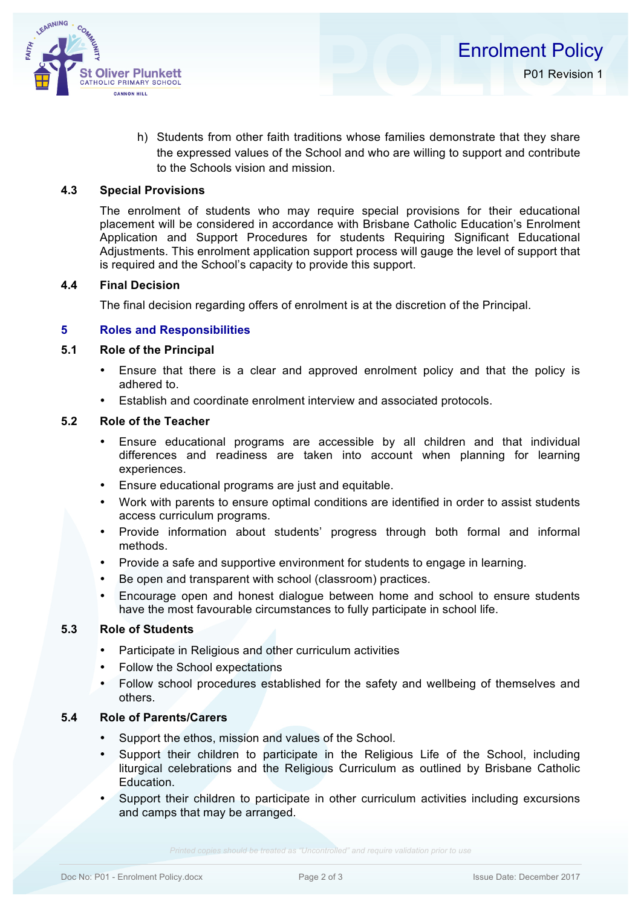

h) Students from other faith traditions whose families demonstrate that they share the expressed values of the School and who are willing to support and contribute to the Schools vision and mission.

### **4.3 Special Provisions**

The enrolment of students who may require special provisions for their educational placement will be considered in accordance with Brisbane Catholic Education's Enrolment Application and Support Procedures for students Requiring Significant Educational Adjustments. This enrolment application support process will gauge the level of support that is required and the School's capacity to provide this support.

## **4.4 Final Decision**

The final decision regarding offers of enrolment is at the discretion of the Principal.

## **5 Roles and Responsibilities**

# **5.1 Role of the Principal**

- Ensure that there is a clear and approved enrolment policy and that the policy is adhered to.
- Establish and coordinate enrolment interview and associated protocols.

## **5.2 Role of the Teacher**

- Ensure educational programs are accessible by all children and that individual differences and readiness are taken into account when planning for learning experiences.
- Ensure educational programs are just and equitable.
- Work with parents to ensure optimal conditions are identified in order to assist students access curriculum programs.
- Provide information about students' progress through both formal and informal methods.
- Provide a safe and supportive environment for students to engage in learning.
- Be open and transparent with school (classroom) practices.
- Encourage open and honest dialogue between home and school to ensure students have the most favourable circumstances to fully participate in school life.

# **5.3 Role of Students**

- Participate in Religious and other curriculum activities
- Follow the School expectations
- Follow school procedures established for the safety and wellbeing of themselves and others.

## **5.4 Role of Parents/Carers**

- Support the ethos, mission and values of the School.
- Support their children to participate in the Religious Life of the School, including liturgical celebrations and the Religious Curriculum as outlined by Brisbane Catholic Education.
- Support their children to participate in other curriculum activities including excursions and camps that may be arranged.

*Printed copies should be treated as "Uncontrolled" and require validation prior to use*